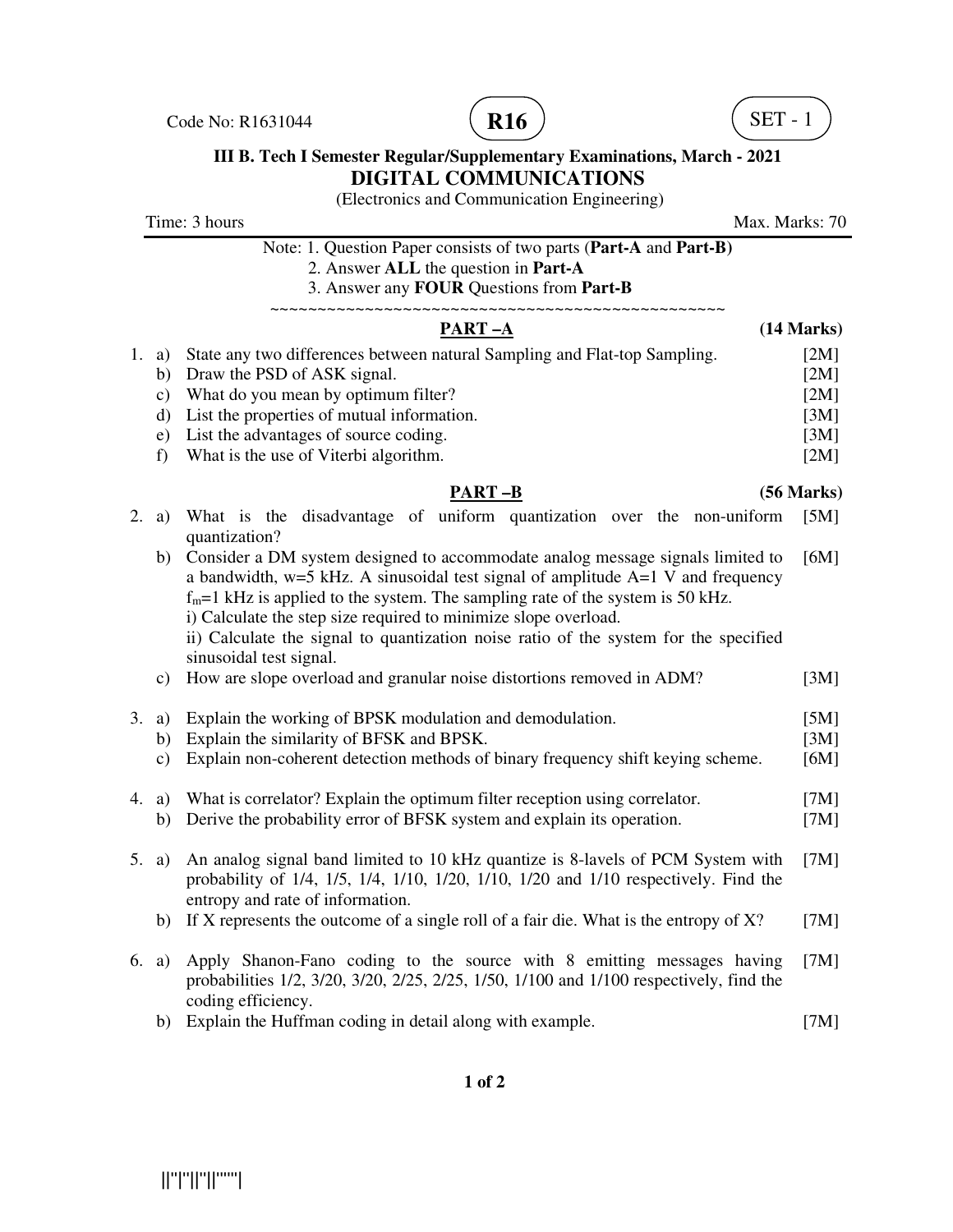Code No: R1631044 **R16 R16** (**R16** ) (**SET - 1** 





## **III B. Tech I Semester Regular/Supplementary Examinations, March - 2021 DIGITAL COMMUNICATIONS**

(Electronics and Communication Engineering)

Time: 3 hours Max. Marks: 70 Note: 1. Question Paper consists of two parts (**Part-A** and **Part-B)** 2. Answer **ALL** the question in **Part-A** 3. Answer any **FOUR** Questions from **Part-B** ~~~~~~~~~~~~~~~~~~~~~~~~~~~~~~~~~~~~~~~~~~~~~~~~ **PART –A** (14 Marks) 1. a) State any two differences between natural Sampling and Flat-top Sampling. [2M] b) Draw the PSD of ASK signal. [2M] c) What do you mean by optimum filter? [2M] d) List the properties of mutual information. [3M] e) List the advantages of source coding. [3M] f) What is the use of Viterbi algorithm. [2M]  **PART –B (56 Marks)** 2. a) What is the disadvantage of uniform quantization over the non-uniform [5M] quantization? b) Consider a DM system designed to accommodate analog message signals limited to a bandwidth,  $w=5$  kHz. A sinusoidal test signal of amplitude  $A=1$  V and frequency  $f_m$ =1 kHz is applied to the system. The sampling rate of the system is 50 kHz. i) Calculate the step size required to minimize slope overload. ii) Calculate the signal to quantization noise ratio of the system for the specified sinusoidal test signal. [6M] c) How are slope overload and granular noise distortions removed in ADM? [3M] 3. a) Explain the working of BPSK modulation and demodulation. [5M] b) Explain the similarity of BFSK and BPSK. [3M] c) Explain non-coherent detection methods of binary frequency shift keying scheme. [6M] 4. a) What is correlator? Explain the optimum filter reception using correlator. [7M] b) Derive the probability error of BFSK system and explain its operation. [7M] 5. a) An analog signal band limited to 10 kHz quantize is 8-lavels of PCM System with probability of 1/4, 1/5, 1/4, 1/10, 1/20, 1/10, 1/20 and 1/10 respectively. Find the entropy and rate of information. [7M] b) If X represents the outcome of a single roll of a fair die. What is the entropy of  $X$ ? [7M] 6. a) Apply Shanon-Fano coding to the source with 8 emitting messages having probabilities 1/2, 3/20, 3/20, 2/25, 2/25, 1/50, 1/100 and 1/100 respectively, find the coding efficiency. [7M]

b) Explain the Huffman coding in detail along with example. [7M]

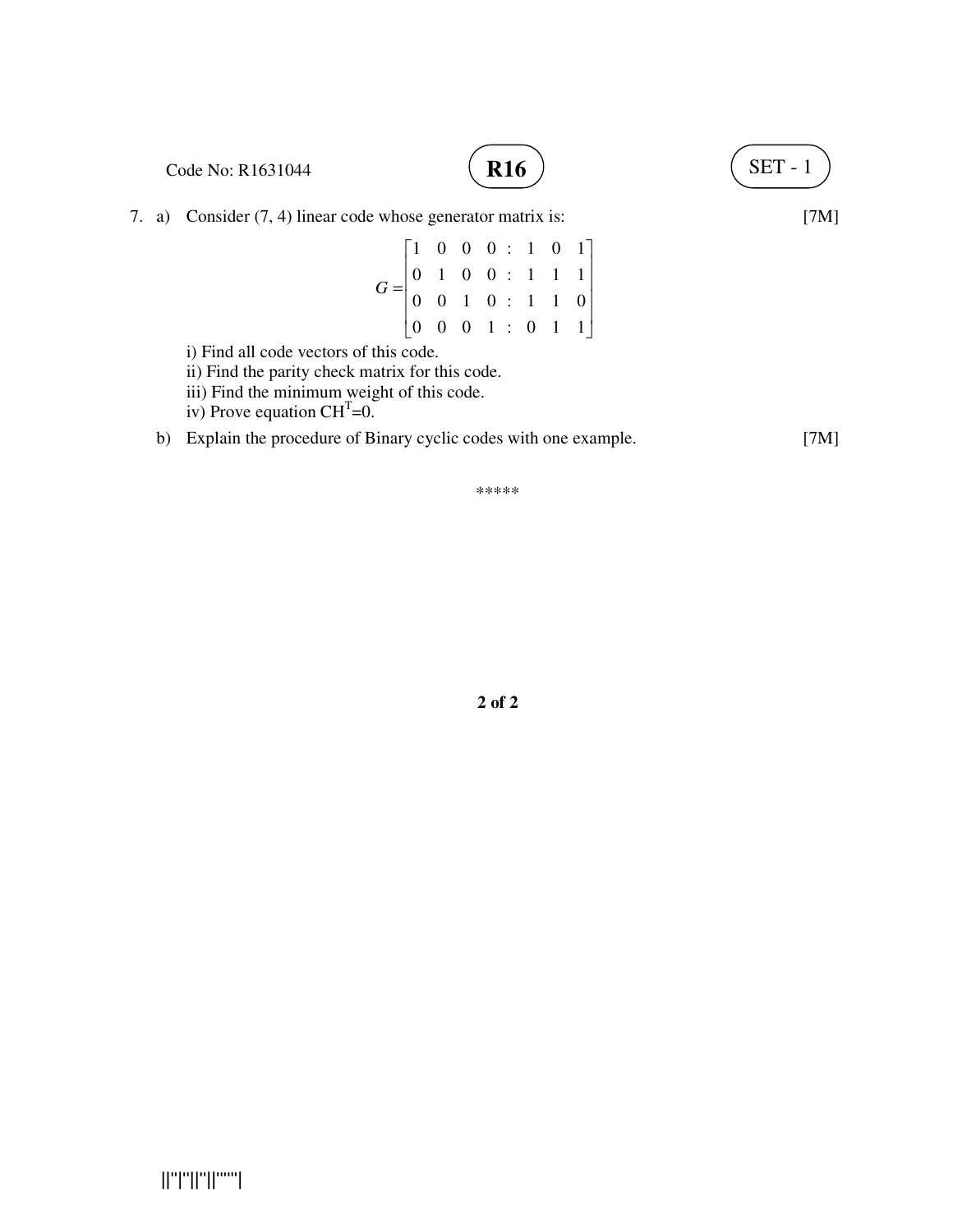

\*\*\*\*\*

**2 of 2**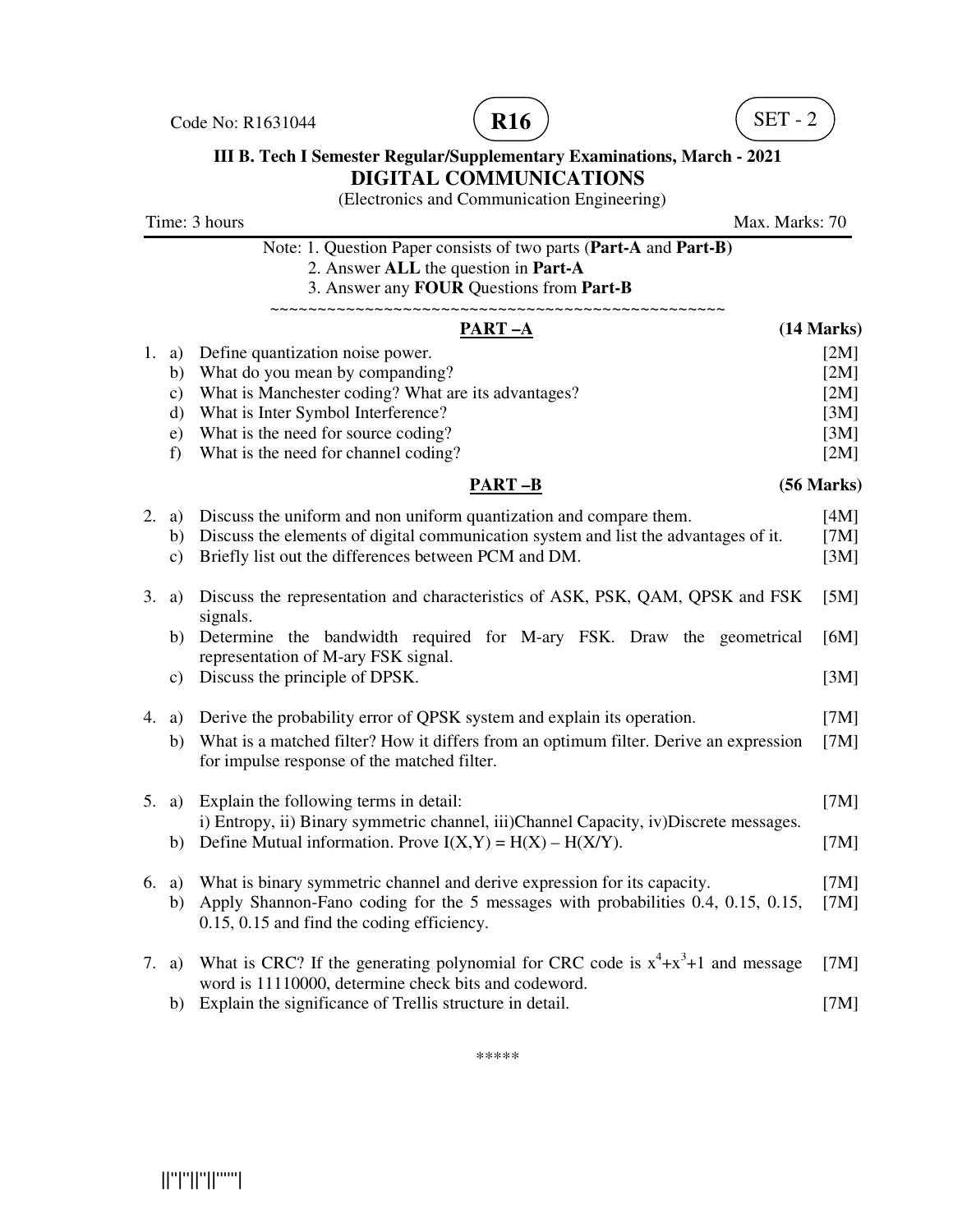Code No: R1631044  $($  **R16**  $)$   $($  SET - 2





## **III B. Tech I Semester Regular/Supplementary Examinations, March - 2021 DIGITAL COMMUNICATIONS**

(Electronics and Communication Engineering)

| Time: 3 hours<br>Max. Marks: 70 |                                                                                                                                                        |              |
|---------------------------------|--------------------------------------------------------------------------------------------------------------------------------------------------------|--------------|
|                                 | Note: 1. Question Paper consists of two parts (Part-A and Part-B)<br>2. Answer ALL the question in Part-A<br>3. Answer any FOUR Questions from Part-B  |              |
|                                 | <u>PART –A</u>                                                                                                                                         | (14 Marks)   |
| 1. a)                           | Define quantization noise power.                                                                                                                       | [2M]         |
| b)                              | What do you mean by companding?                                                                                                                        | [2M]         |
| $\mathbf{c})$                   | What is Manchester coding? What are its advantages?                                                                                                    | [2M]         |
| d)                              | What is Inter Symbol Interference?                                                                                                                     | [3M]         |
| e)<br>f)                        | What is the need for source coding?<br>What is the need for channel coding?                                                                            | [3M]<br>[2M] |
|                                 | <b>PART-B</b>                                                                                                                                          | (56 Marks)   |
| 2. a)                           | Discuss the uniform and non uniform quantization and compare them.                                                                                     | [4M]         |
| b)                              | Discuss the elements of digital communication system and list the advantages of it.                                                                    | [7M]         |
| c)                              | Briefly list out the differences between PCM and DM.                                                                                                   | [3M]         |
| 3.<br>a)                        | Discuss the representation and characteristics of ASK, PSK, QAM, QPSK and FSK<br>signals.                                                              | [5M]         |
| b)                              | Determine the bandwidth required for M-ary FSK. Draw the geometrical<br>representation of M-ary FSK signal.                                            | [6M]         |
| c)                              | Discuss the principle of DPSK.                                                                                                                         | [3M]         |
| 4.<br>a)                        | Derive the probability error of QPSK system and explain its operation.                                                                                 | [7M]         |
| b)                              | What is a matched filter? How it differs from an optimum filter. Derive an expression<br>for impulse response of the matched filter.                   | [7M]         |
| 5. a)                           | Explain the following terms in detail:                                                                                                                 | [7M]         |
| b)                              | i) Entropy, ii) Binary symmetric channel, iii) Channel Capacity, iv) Discrete messages.<br>Define Mutual information. Prove $I(X,Y) = H(X) - H(X/Y)$ . | [7M]         |
|                                 |                                                                                                                                                        |              |
| 6. a)                           | What is binary symmetric channel and derive expression for its capacity.                                                                               | [7M]         |
| b)                              | Apply Shannon-Fano coding for the 5 messages with probabilities 0.4, 0.15, 0.15,<br>0.15, 0.15 and find the coding efficiency.                         | [7M]         |
| 7. a)                           | What is CRC? If the generating polynomial for CRC code is $x^4 + x^3 + 1$ and message                                                                  | [7M]         |
| b)                              | word is 11110000, determine check bits and codeword.<br>Explain the significance of Trellis structure in detail.                                       | [7M]         |
|                                 |                                                                                                                                                        |              |

\*\*\*\*\*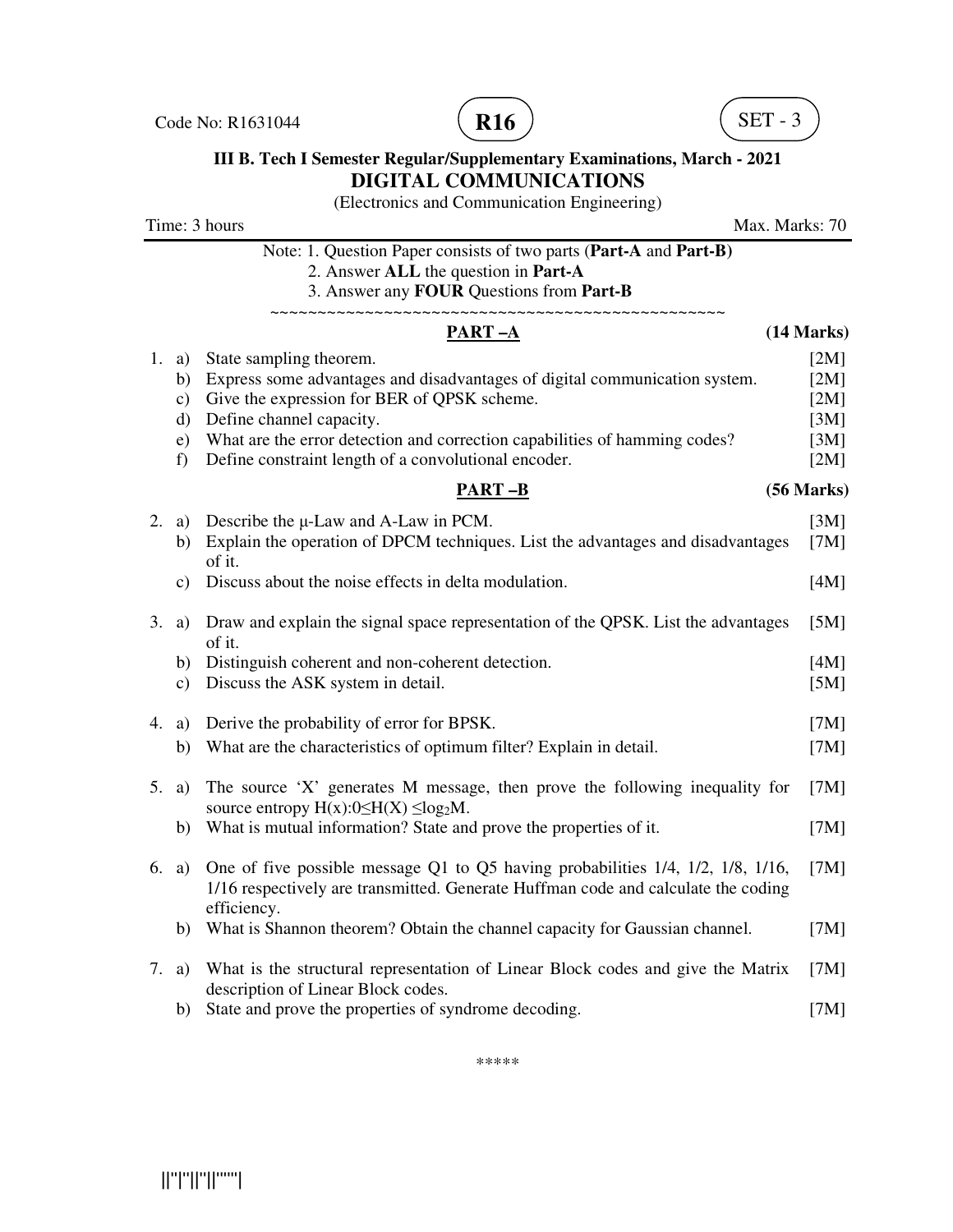Code No: R1631044 **R16 R16** (R16) **R16** (SET - 3





## **III B. Tech I Semester Regular/Supplementary Examinations, March - 2021 DIGITAL COMMUNICATIONS**

(Electronics and Communication Engineering)

Time: 3 hours Max. Marks: 70 Note: 1. Question Paper consists of two parts (**Part-A** and **Part-B)** 2. Answer **ALL** the question in **Part-A** 3. Answer any **FOUR** Questions from **Part-B** ~~~~~~~~~~~~~~~~~~~~~~~~~~~~~~~~~~~~~~~~~~~~~~~~ **PART –A** (14 Marks) 1. a) State sampling theorem. [2M] b) Express some advantages and disadvantages of digital communication system. [2M] c) Give the expression for BER of QPSK scheme. [2M] d) Define channel capacity. [3M] e) What are the error detection and correction capabilities of hamming codes? [3M] f) Define constraint length of a convolutional encoder. [2M]  **PART –B (56 Marks)** 2. a) Describe the  $\mu$ -Law and A-Law in PCM. [3M] b) Explain the operation of DPCM techniques. List the advantages and disadvantages of it. [7M] c) Discuss about the noise effects in delta modulation. [4M] 3. a) Draw and explain the signal space representation of the QPSK. List the advantages of it. [5M] b) Distinguish coherent and non-coherent detection. [4M] c) Discuss the ASK system in detail. [5M] 4. a) Derive the probability of error for BPSK. [7M] b) What are the characteristics of optimum filter? Explain in detail. [7M] 5. a) The source 'X' generates M message, then prove the following inequality for source entropy  $H(x):0 \leq H(X) \leq log_2 M$ . [7M] b) What is mutual information? State and prove the properties of it. [7M] 6. a) One of five possible message Q1 to Q5 having probabilities 1/4, 1/2, 1/8, 1/16, 1/16 respectively are transmitted. Generate Huffman code and calculate the coding efficiency.  $[7M]$  b) What is Shannon theorem? Obtain the channel capacity for Gaussian channel. [7M] 7. a) What is the structural representation of Linear Block codes and give the Matrix description of Linear Block codes. [7M] b) State and prove the properties of syndrome decoding. [7M]

\*\*\*\*\*